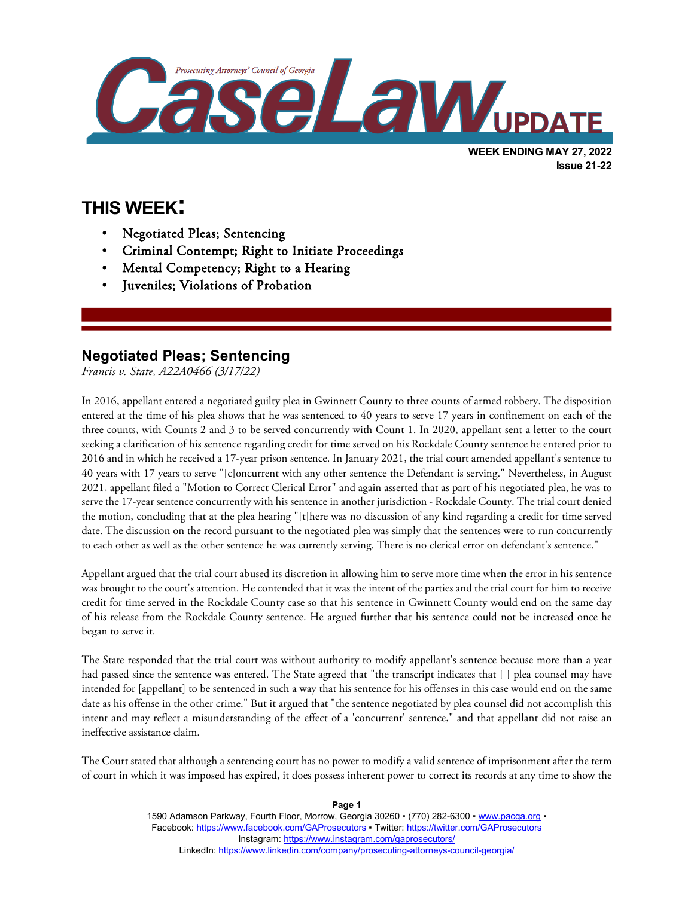

**THIS WEEK:**

l

- Negotiated Pleas; Sentencing
- Criminal Contempt; Right to Initiate Proceedings
- Mental Competency; Right to a Hearing
- Juveniles; Violations of Probation

## **Negotiated Pleas; Sentencing**

*Francis v. State, A22A0466 (3/17/22)*

In 2016, appellant entered a negotiated guilty plea in Gwinnett County to three counts of armed robbery. The disposition entered at the time of his plea shows that he was sentenced to 40 years to serve 17 years in confinement on each of the three counts, with Counts 2 and 3 to be served concurrently with Count 1. In 2020, appellant sent a letter to the court seeking a clarification of his sentence regarding credit for time served on his Rockdale County sentence he entered prior to 2016 and in which he received a 17-year prison sentence. In January 2021, the trial court amended appellant's sentence to 40 years with 17 years to serve "[c]oncurrent with any other sentence the Defendant is serving." Nevertheless, in August 2021, appellant filed a "Motion to Correct Clerical Error" and again asserted that as part of his negotiated plea, he was to serve the 17-year sentence concurrently with his sentence in another jurisdiction - Rockdale County. The trial court denied the motion, concluding that at the plea hearing "[t]here was no discussion of any kind regarding a credit for time served date. The discussion on the record pursuant to the negotiated plea was simply that the sentences were to run concurrently to each other as well as the other sentence he was currently serving. There is no clerical error on defendant's sentence."

Appellant argued that the trial court abused its discretion in allowing him to serve more time when the error in his sentence was brought to the court's attention. He contended that it was the intent of the parties and the trial court for him to receive credit for time served in the Rockdale County case so that his sentence in Gwinnett County would end on the same day of his release from the Rockdale County sentence. He argued further that his sentence could not be increased once he began to serve it.

The State responded that the trial court was without authority to modify appellant's sentence because more than a year had passed since the sentence was entered. The State agreed that "the transcript indicates that [ ] plea counsel may have intended for [appellant] to be sentenced in such a way that his sentence for his offenses in this case would end on the same date as his offense in the other crime." But it argued that "the sentence negotiated by plea counsel did not accomplish this intent and may reflect a misunderstanding of the effect of a 'concurrent' sentence," and that appellant did not raise an ineffective assistance claim.

The Court stated that although a sentencing court has no power to modify a valid sentence of imprisonment after the term of court in which it was imposed has expired, it does possess inherent power to correct its records at any time to show the

**Page 1**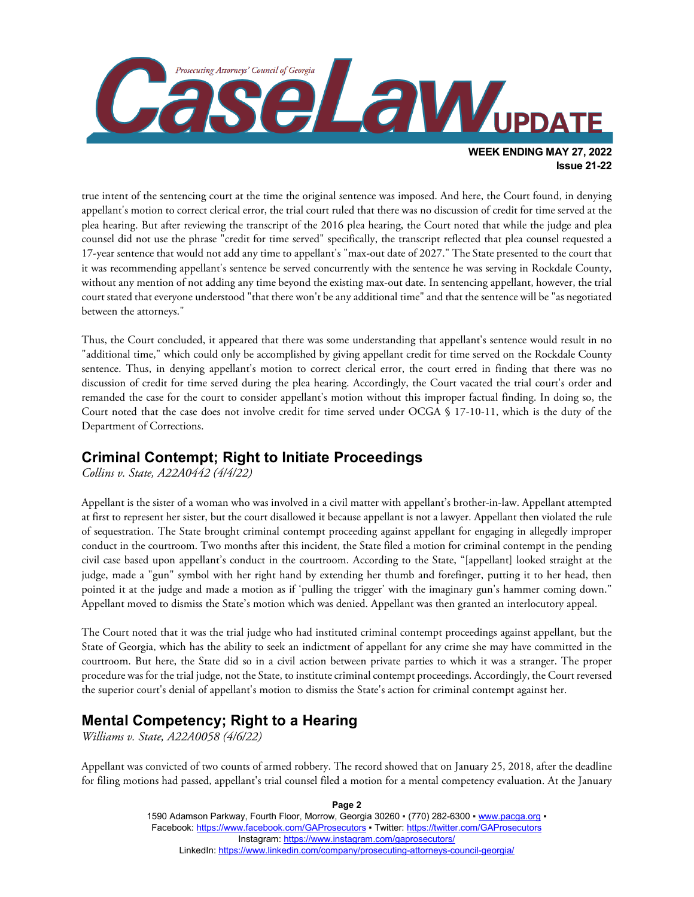

true intent of the sentencing court at the time the original sentence was imposed. And here, the Court found, in denying appellant's motion to correct clerical error, the trial court ruled that there was no discussion of credit for time served at the plea hearing. But after reviewing the transcript of the 2016 plea hearing, the Court noted that while the judge and plea counsel did not use the phrase "credit for time served" specifically, the transcript reflected that plea counsel requested a 17-year sentence that would not add any time to appellant's "max-out date of 2027." The State presented to the court that it was recommending appellant's sentence be served concurrently with the sentence he was serving in Rockdale County, without any mention of not adding any time beyond the existing max-out date. In sentencing appellant, however, the trial court stated that everyone understood "that there won't be any additional time" and that the sentence will be "as negotiated between the attorneys."

Thus, the Court concluded, it appeared that there was some understanding that appellant's sentence would result in no "additional time," which could only be accomplished by giving appellant credit for time served on the Rockdale County sentence. Thus, in denying appellant's motion to correct clerical error, the court erred in finding that there was no discussion of credit for time served during the plea hearing. Accordingly, the Court vacated the trial court's order and remanded the case for the court to consider appellant's motion without this improper factual finding. In doing so, the Court noted that the case does not involve credit for time served under OCGA § 17-10-11, which is the duty of the Department of Corrections.

## **Criminal Contempt; Right to Initiate Proceedings**

*Collins v. State, A22A0442 (4/4/22)*

Appellant is the sister of a woman who was involved in a civil matter with appellant's brother-in-law. Appellant attempted at first to represent her sister, but the court disallowed it because appellant is not a lawyer. Appellant then violated the rule of sequestration. The State brought criminal contempt proceeding against appellant for engaging in allegedly improper conduct in the courtroom. Two months after this incident, the State filed a motion for criminal contempt in the pending civil case based upon appellant's conduct in the courtroom. According to the State, "[appellant] looked straight at the judge, made a "gun" symbol with her right hand by extending her thumb and forefinger, putting it to her head, then pointed it at the judge and made a motion as if 'pulling the trigger' with the imaginary gun's hammer coming down." Appellant moved to dismiss the State's motion which was denied. Appellant was then granted an interlocutory appeal.

The Court noted that it was the trial judge who had instituted criminal contempt proceedings against appellant, but the State of Georgia, which has the ability to seek an indictment of appellant for any crime she may have committed in the courtroom. But here, the State did so in a civil action between private parties to which it was a stranger. The proper procedure was for the trial judge, not the State, to institute criminal contempt proceedings. Accordingly, the Court reversed the superior court's denial of appellant's motion to dismiss the State's action for criminal contempt against her.

## **Mental Competency; Right to a Hearing**

*Williams v. State, A22A0058 (4/6/22)*

Appellant was convicted of two counts of armed robbery. The record showed that on January 25, 2018, after the deadline for filing motions had passed, appellant's trial counsel filed a motion for a mental competency evaluation. At the January

> 1590 Adamson Parkway, Fourth Floor, Morrow, Georgia 30260 · (770) 282-6300 · [www.pacga.org](http://www.pacga.org/) · Facebook[: https://www.facebook.com/GAProsecutors](https://www.facebook.com/GAProsecutors) ▪ Twitter:<https://twitter.com/GAProsecutors> Instagram[: https://www.instagram.com/gaprosecutors/](https://www.instagram.com/gaprosecutors/) LinkedIn:<https://www.linkedin.com/company/prosecuting-attorneys-council-georgia/>

**Page 2**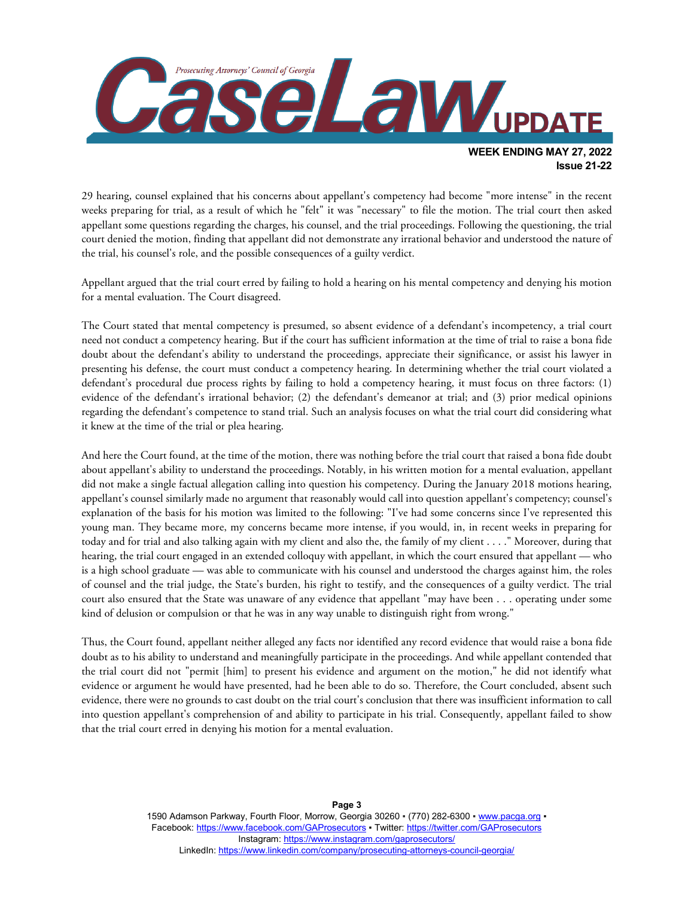

29 hearing, counsel explained that his concerns about appellant's competency had become "more intense" in the recent weeks preparing for trial, as a result of which he "felt" it was "necessary" to file the motion. The trial court then asked appellant some questions regarding the charges, his counsel, and the trial proceedings. Following the questioning, the trial court denied the motion, finding that appellant did not demonstrate any irrational behavior and understood the nature of the trial, his counsel's role, and the possible consequences of a guilty verdict.

Appellant argued that the trial court erred by failing to hold a hearing on his mental competency and denying his motion for a mental evaluation. The Court disagreed.

The Court stated that mental competency is presumed, so absent evidence of a defendant's incompetency, a trial court need not conduct a competency hearing. But if the court has sufficient information at the time of trial to raise a bona fide doubt about the defendant's ability to understand the proceedings, appreciate their significance, or assist his lawyer in presenting his defense, the court must conduct a competency hearing. In determining whether the trial court violated a defendant's procedural due process rights by failing to hold a competency hearing, it must focus on three factors: (1) evidence of the defendant's irrational behavior; (2) the defendant's demeanor at trial; and (3) prior medical opinions regarding the defendant's competence to stand trial. Such an analysis focuses on what the trial court did considering what it knew at the time of the trial or plea hearing.

And here the Court found, at the time of the motion, there was nothing before the trial court that raised a bona fide doubt about appellant's ability to understand the proceedings. Notably, in his written motion for a mental evaluation, appellant did not make a single factual allegation calling into question his competency. During the January 2018 motions hearing, appellant's counsel similarly made no argument that reasonably would call into question appellant's competency; counsel's explanation of the basis for his motion was limited to the following: "I've had some concerns since I've represented this young man. They became more, my concerns became more intense, if you would, in, in recent weeks in preparing for today and for trial and also talking again with my client and also the, the family of my client . . . ." Moreover, during that hearing, the trial court engaged in an extended colloquy with appellant, in which the court ensured that appellant — who is a high school graduate — was able to communicate with his counsel and understood the charges against him, the roles of counsel and the trial judge, the State's burden, his right to testify, and the consequences of a guilty verdict. The trial court also ensured that the State was unaware of any evidence that appellant "may have been . . . operating under some kind of delusion or compulsion or that he was in any way unable to distinguish right from wrong."

Thus, the Court found, appellant neither alleged any facts nor identified any record evidence that would raise a bona fide doubt as to his ability to understand and meaningfully participate in the proceedings. And while appellant contended that the trial court did not "permit [him] to present his evidence and argument on the motion," he did not identify what evidence or argument he would have presented, had he been able to do so. Therefore, the Court concluded, absent such evidence, there were no grounds to cast doubt on the trial court's conclusion that there was insufficient information to call into question appellant's comprehension of and ability to participate in his trial. Consequently, appellant failed to show that the trial court erred in denying his motion for a mental evaluation.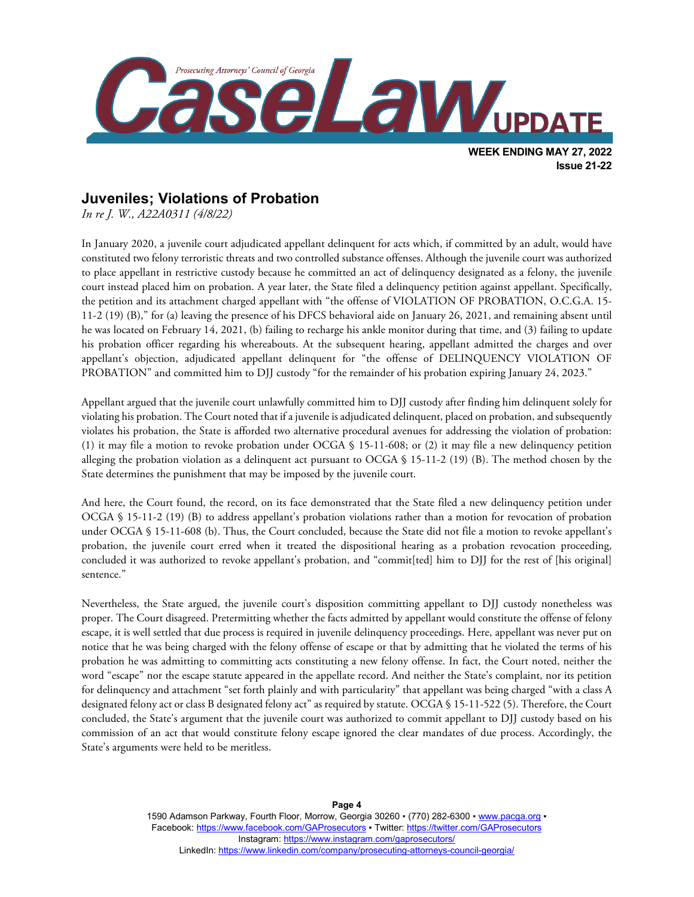

## **Juveniles; Violations of Probation**

*In re J. W., A22A0311 (4/8/22)*

In January 2020, a juvenile court adjudicated appellant delinquent for acts which, if committed by an adult, would have constituted two felony terroristic threats and two controlled substance offenses. Although the juvenile court was authorized to place appellant in restrictive custody because he committed an act of delinquency designated as a felony, the juvenile court instead placed him on probation. A year later, the State filed a delinquency petition against appellant. Specifically, the petition and its attachment charged appellant with "the offense of VIOLATION OF PROBATION, O.C.G.A. 15- 11-2 (19) (B)," for (a) leaving the presence of his DFCS behavioral aide on January 26, 2021, and remaining absent until he was located on February 14, 2021, (b) failing to recharge his ankle monitor during that time, and (3) failing to update his probation officer regarding his whereabouts. At the subsequent hearing, appellant admitted the charges and over appellant's objection, adjudicated appellant delinquent for "the offense of DELINQUENCY VIOLATION OF PROBATION" and committed him to DJJ custody "for the remainder of his probation expiring January 24, 2023."

Appellant argued that the juvenile court unlawfully committed him to DJJ custody after finding him delinquent solely for violating his probation. The Court noted that if a juvenile is adjudicated delinquent, placed on probation, and subsequently violates his probation, the State is afforded two alternative procedural avenues for addressing the violation of probation: (1) it may file a motion to revoke probation under OCGA § 15-11-608; or (2) it may file a new delinquency petition alleging the probation violation as a delinquent act pursuant to OCGA § 15-11-2 (19) (B). The method chosen by the State determines the punishment that may be imposed by the juvenile court.

And here, the Court found, the record, on its face demonstrated that the State filed a new delinquency petition under OCGA § 15-11-2 (19) (B) to address appellant's probation violations rather than a motion for revocation of probation under OCGA § 15-11-608 (b). Thus, the Court concluded, because the State did not file a motion to revoke appellant's probation, the juvenile court erred when it treated the dispositional hearing as a probation revocation proceeding, concluded it was authorized to revoke appellant's probation, and "commit[ted] him to DJJ for the rest of [his original] sentence."

Nevertheless, the State argued, the juvenile court's disposition committing appellant to DJJ custody nonetheless was proper. The Court disagreed. Pretermitting whether the facts admitted by appellant would constitute the offense of felony escape, it is well settled that due process is required in juvenile delinquency proceedings. Here, appellant was never put on notice that he was being charged with the felony offense of escape or that by admitting that he violated the terms of his probation he was admitting to committing acts constituting a new felony offense. In fact, the Court noted, neither the word "escape" nor the escape statute appeared in the appellate record. And neither the State's complaint, nor its petition for delinquency and attachment "set forth plainly and with particularity" that appellant was being charged "with a class A designated felony act or class B designated felony act" as required by statute. OCGA § 15-11-522 (5). Therefore, the Court concluded, the State's argument that the juvenile court was authorized to commit appellant to DJJ custody based on his commission of an act that would constitute felony escape ignored the clear mandates of due process. Accordingly, the State's arguments were held to be meritless.